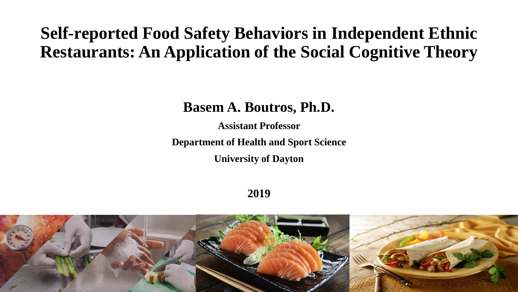# **Self-reported Food Safety Behaviors in Independent Ethnic Restaurants: An Application of the Social Cognitive Theory**

### **Basem A. Boutros, Ph.D.**

**Assistant Professor** 

**Department of Health and Sport Science**

**University of Dayton**

**2019**

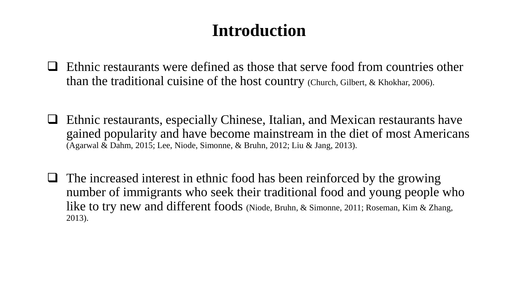- ❑ Ethnic restaurants were defined as those that serve food from countries other than the traditional cuisine of the host country (Church, Gilbert, & Khokhar, 2006).
- ❑ Ethnic restaurants, especially Chinese, Italian, and Mexican restaurants have gained popularity and have become mainstream in the diet of most Americans (Agarwal & Dahm, 2015; Lee, Niode, Simonne, & Bruhn, 2012; Liu & Jang, 2013).
- The increased interest in ethnic food has been reinforced by the growing number of immigrants who seek their traditional food and young people who like to try new and different foods (Niode, Bruhn, & Simonne, 2011; Roseman, Kim & Zhang, 2013).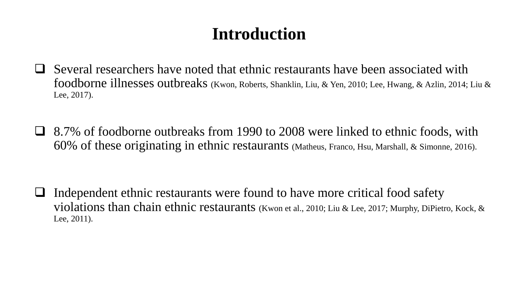- ❑ Several researchers have noted that ethnic restaurants have been associated with foodborne illnesses outbreaks (Kwon, Roberts, Shanklin, Liu, & Yen, 2010; Lee, Hwang, & Azlin, 2014; Liu & Lee, 2017).
- ❑ 8.7% of foodborne outbreaks from 1990 to 2008 were linked to ethnic foods, with 60% of these originating in ethnic restaurants (Matheus, Franco, Hsu, Marshall, & Simonne, 2016).

Independent ethnic restaurants were found to have more critical food safety violations than chain ethnic restaurants (Kwon et al., 2010; Liu & Lee, 2017; Murphy, DiPietro, Kock, & Lee, 2011).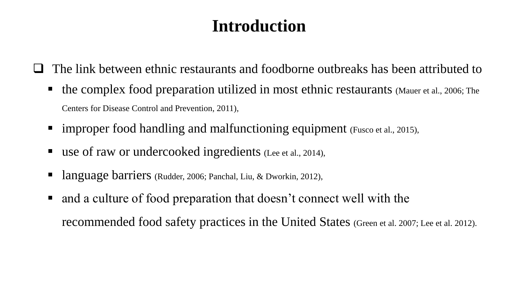- ❑ The link between ethnic restaurants and foodborne outbreaks has been attributed to
	- the complex food preparation utilized in most ethnic restaurants (Mauer et al., 2006; The Centers for Disease Control and Prevention, 2011),
	- improper food handling and malfunctioning equipment (Fusco et al., 2015),
	- use of raw or undercooked ingredients (Lee et al., 2014),
	- language barriers (Rudder, 2006; Panchal, Liu, & Dworkin, 2012),
	- and a culture of food preparation that doesn't connect well with the recommended food safety practices in the United States (Green et al. 2007; Lee et al. 2012).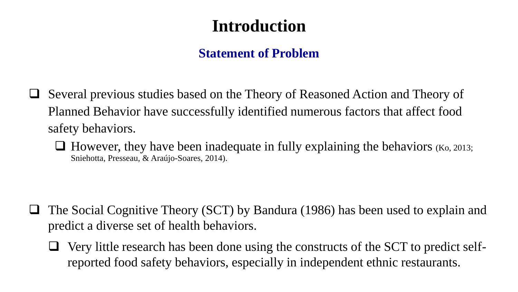### **Statement of Problem**

- ❑ Several previous studies based on the Theory of Reasoned Action and Theory of Planned Behavior have successfully identified numerous factors that affect food safety behaviors.
	- $\Box$  However, they have been inadequate in fully explaining the behaviors (Ko, 2013; Sniehotta, Presseau, & Araújo-Soares, 2014).

- ❑ The Social Cognitive Theory (SCT) by Bandura (1986) has been used to explain and predict a diverse set of health behaviors.
	- $\Box$  Very little research has been done using the constructs of the SCT to predict selfreported food safety behaviors, especially in independent ethnic restaurants.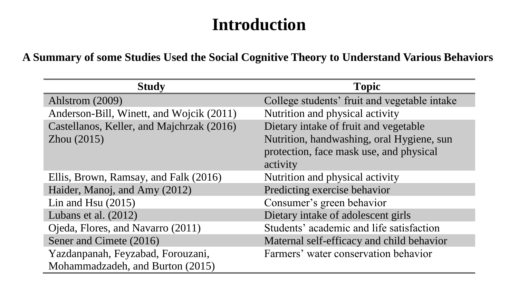#### **Introduction Introduction**

**A Summary of some Studies Used the Social Cognitive Theory to Understand Various Behaviors** 

| <b>Study</b>                                                          | <b>Topic</b>                                                                                     |
|-----------------------------------------------------------------------|--------------------------------------------------------------------------------------------------|
| Ahlstrom (2009)                                                       | College students' fruit and vegetable intake                                                     |
| Anderson-Bill, Winett, and Wojcik (2011)                              | Nutrition and physical activity                                                                  |
| Castellanos, Keller, and Majchrzak (2016)                             | Dietary intake of fruit and vegetable                                                            |
| Zhou $(2015)$                                                         | Nutrition, handwashing, oral Hygiene, sun<br>protection, face mask use, and physical<br>activity |
| Ellis, Brown, Ramsay, and Falk (2016)                                 | Nutrition and physical activity                                                                  |
| Haider, Manoj, and Amy (2012)                                         | Predicting exercise behavior                                                                     |
| Lin and Hsu $(2015)$                                                  | Consumer's green behavior                                                                        |
| Lubans et al. $(2012)$                                                | Dietary intake of adolescent girls                                                               |
| Ojeda, Flores, and Navarro (2011)                                     | Students' academic and life satisfaction                                                         |
| Sener and Cimete (2016)                                               | Maternal self-efficacy and child behavior                                                        |
| Yazdanpanah, Feyzabad, Forouzani,<br>Mohammadzadeh, and Burton (2015) | Farmers' water conservation behavior                                                             |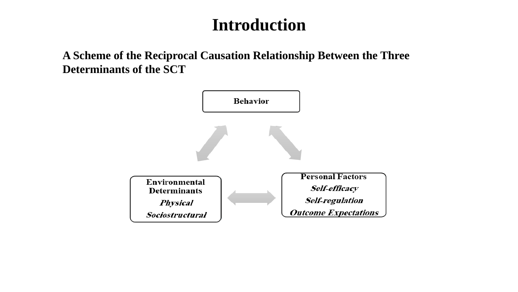**A Scheme of the Reciprocal Causation Relationship Between the Three Determinants of the SCT**

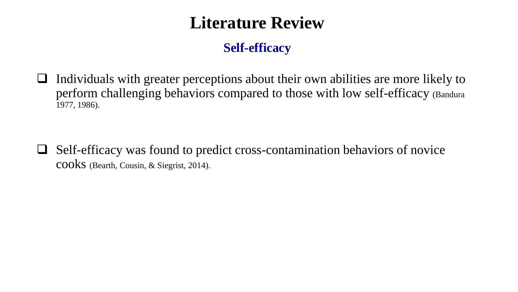### **Self-efficacy**

 $\Box$  Individuals with greater perceptions about their own abilities are more likely to perform challenging behaviors compared to those with low self-efficacy (Bandura 1977, 1986).

❑ Self-efficacy was found to predict cross-contamination behaviors of novice cooks (Bearth, Cousin, & Siegrist, 2014).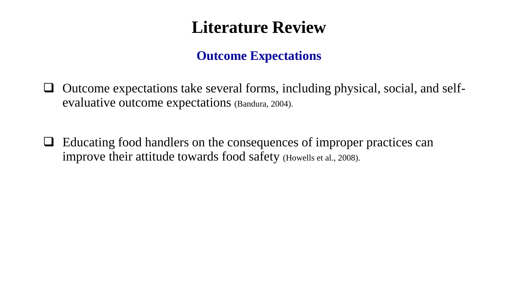### **Outcome Expectations**

- ❑ Outcome expectations take several forms, including physical, social, and selfevaluative outcome expectations (Bandura, 2004).
- ❑ Educating food handlers on the consequences of improper practices can improve their attitude towards food safety (Howells et al., 2008).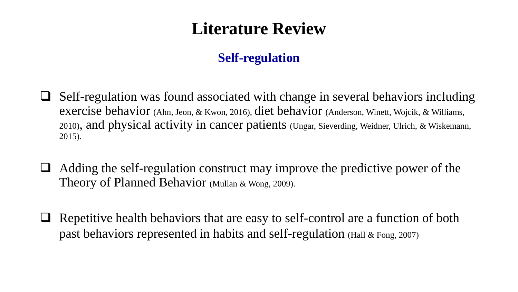### **Self-regulation**

- ❑ Self-regulation was found associated with change in several behaviors including exercise behavior (Ahn, Jeon, & Kwon, 2016), diet behavior (Anderson, Winett, Wojcik, & Williams, 2010), and physical activity in cancer patients (Ungar, Sieverding, Weidner, Ulrich, & Wiskemann, 2015).
- ❑ Adding the self-regulation construct may improve the predictive power of the Theory of Planned Behavior (Mullan & Wong, 2009).
- Repetitive health behaviors that are easy to self-control are a function of both past behaviors represented in habits and self-regulation (Hall & Fong, 2007)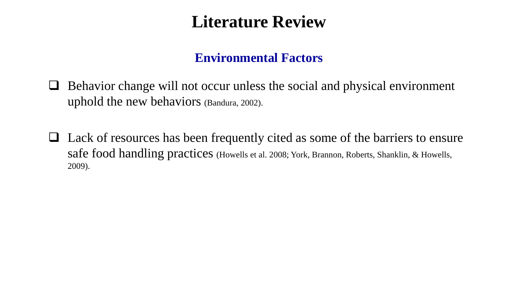#### **Environmental Factors**

- ❑ Behavior change will not occur unless the social and physical environment uphold the new behaviors (Bandura, 2002).
- □ Lack of resources has been frequently cited as some of the barriers to ensure safe food handling practices (Howells et al. 2008; York, Brannon, Roberts, Shanklin, & Howells, 2009).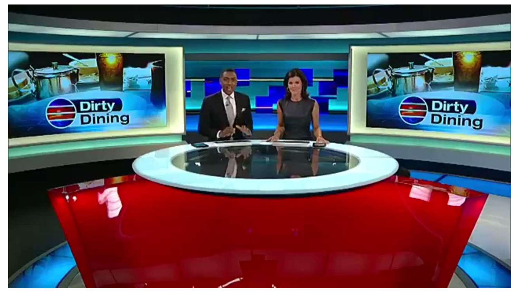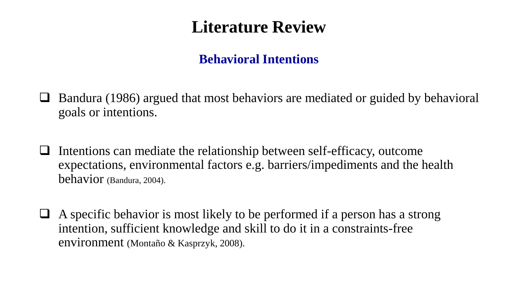#### **Behavioral Intentions**

- Bandura (1986) argued that most behaviors are mediated or guided by behavioral goals or intentions.
- Intentions can mediate the relationship between self-efficacy, outcome expectations, environmental factors e.g. barriers/impediments and the health behavior (Bandura, 2004).
- ❑ A specific behavior is most likely to be performed if a person has a strong intention, sufficient knowledge and skill to do it in a constraints-free environment (Montaño & Kasprzyk, 2008).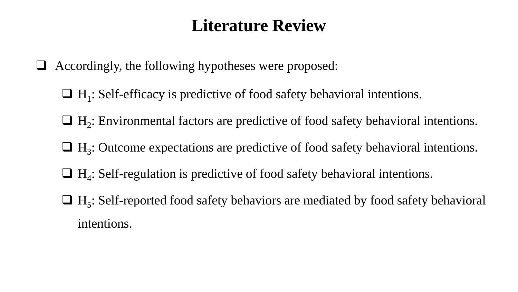- ❑ Accordingly, the following hypotheses were proposed:
	- $\Box$  H<sub>1</sub>: Self-efficacy is predictive of food safety behavioral intentions.
	- $\Box$  H<sub>2</sub>: Environmental factors are predictive of food safety behavioral intentions.
	- $\Box$  H<sub>3</sub>: Outcome expectations are predictive of food safety behavioral intentions.
	- $\Box$  H<sub>4</sub>: Self-regulation is predictive of food safety behavioral intentions.
	- $\Box$  H<sub>5</sub>: Self-reported food safety behaviors are mediated by food safety behavioral intentions.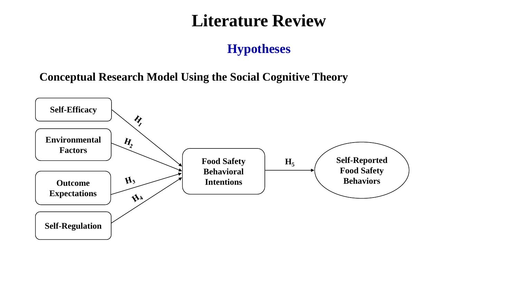#### **Hypotheses**

#### **Conceptual Research Model Using the Social Cognitive Theory**

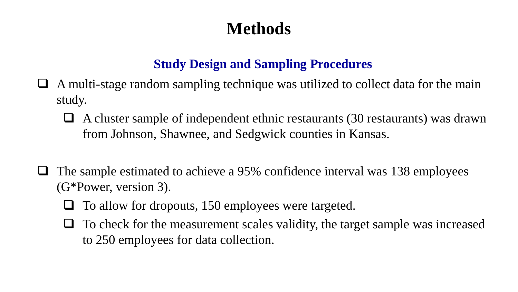#### **Study Design and Sampling Procedures**

- $\Box$  A multi-stage random sampling technique was utilized to collect data for the main study.
	- ❑ A cluster sample of independent ethnic restaurants (30 restaurants) was drawn from Johnson, Shawnee, and Sedgwick counties in Kansas.
- $\Box$  The sample estimated to achieve a 95% confidence interval was 138 employees (G\*Power, version 3).
	- To allow for dropouts, 150 employees were targeted.
	- ❑ To check for the measurement scales validity, the target sample was increased to 250 employees for data collection.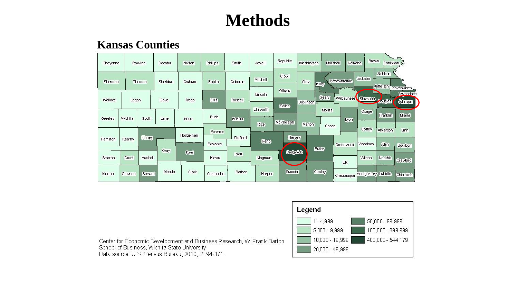#### **[Kansas Counties](http://www.tokyoks.com/)**

| Cheyenne |         | Rawlins       | Decatur  | Norton   | Phillips       | Smith         | Jewell                   | Republic               | Washington           | Marshall            | Nemaha    | <b>Brown</b>        | Doniphan S      |                                    |
|----------|---------|---------------|----------|----------|----------------|---------------|--------------------------|------------------------|----------------------|---------------------|-----------|---------------------|-----------------|------------------------------------|
| Sherman  |         | Thomas        | Sheridan | Graham   | Rooks          | Osborne       | Mitchell                 | Cloud                  | Clay<br><b>Riley</b> | Pottawatomie<br>a., | way       | Jackson             | Atchison        | Jefferson Leaverworth              |
| Wallace  | Logan   |               | Gove     | Trego    | Ellis          | Russell       | Lincoln                  | Ottawa<br>Saline,      | Dickinson            | Geary               | Wabaunsee | Shawnee <sub></sub> | <b>Louglas</b>  | <b>Wyandotte</b><br><u>Johnson</u> |
| Greeley  | Wichita | Scott         | Lane     | Ness     | Rush           | <b>Barton</b> | Ellsworth<br><b>Rice</b> | McPherson <sup>®</sup> | Marion               | Morris              | Lyon      | Osage               | <b>Franklin</b> | Miami                              |
| Hamilton | Kearny  | <b>Finney</b> |          | Hodgeman | Pawnee         | Stafford      | Reno <sub></sub>         | Harvey)                |                      | Chase               |           | Coffey              | Anderson        | Linn                               |
|          |         |               | Gray     | Ford     | <b>Edwards</b> | Pratt         |                          | Sedgwick.              | <b>Butler</b>        | Greenwood           |           | Woodson             | Allen           | Bourbon                            |
| Starton  | Grant   | Haskell       |          |          | Kiowa          |               | Kingman                  |                        |                      | Elk                 |           | Wilson              | Neosho          | Crawford                           |
| Morton   | Stevens | Seward        | Meade    | Clark    | Comanche       | Barber        | Harper                   | <b>Sumner</b>          | Cowley.              | Chautauqua          |           | Montgomery Labette  |                 | Cherokee                           |

Center for Economic Development and Business Research, W. Frank Barton<br>School of Business, Wichita State University Data source: U.S. Census Bureau, 2010, PL94-171.

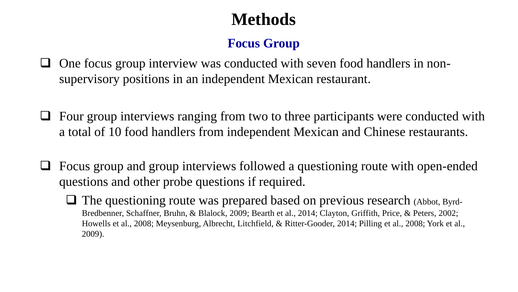### **Focus Group**

- ❑ One focus group interview was conducted with seven food handlers in nonsupervisory positions in an independent Mexican restaurant.
- ❑ Four group interviews ranging from two to three participants were conducted with a total of 10 food handlers from independent Mexican and Chinese restaurants.
- ❑ Focus group and group interviews followed a questioning route with open-ended questions and other probe questions if required.
	- □ The questioning route was prepared based on previous research (Abbot, Byrd-Bredbenner, Schaffner, Bruhn, & Blalock, 2009; Bearth et al., 2014; Clayton, Griffith, Price, & Peters, 2002; Howells et al., 2008; Meysenburg, Albrecht, Litchfield, & Ritter-Gooder, 2014; Pilling et al., 2008; York et al., 2009).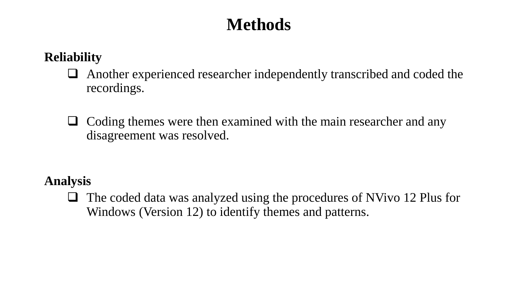### **Reliability**

- ❑ Another experienced researcher independently transcribed and coded the recordings.
- □ Coding themes were then examined with the main researcher and any disagreement was resolved.

#### **Analysis**

The coded data was analyzed using the procedures of NVivo 12 Plus for Windows (Version 12) to identify themes and patterns.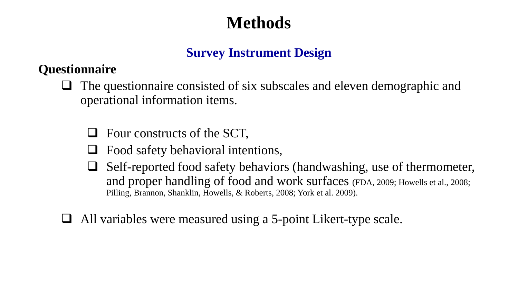### **Survey Instrument Design**

### **Questionnaire**

- The questionnaire consisted of six subscales and eleven demographic and operational information items.
	- Four constructs of the SCT,
	- Food safety behavioral intentions,
	- ❑ Self-reported food safety behaviors (handwashing, use of thermometer, and proper handling of food and work surfaces (FDA, 2009; Howells et al., 2008; Pilling, Brannon, Shanklin, Howells, & Roberts, 2008; York et al. 2009).
- ❑ All variables were measured using a 5-point Likert-type scale.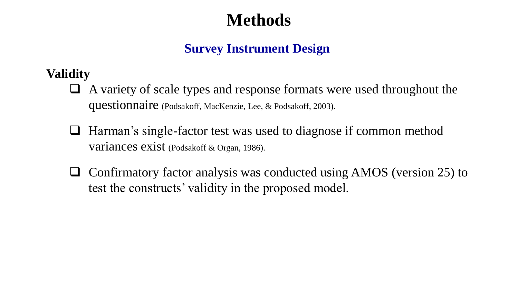### **Survey Instrument Design**

**Validity**

- ❑ A variety of scale types and response formats were used throughout the questionnaire (Podsakoff, MacKenzie, Lee, & Podsakoff, 2003).
- Harman's single-factor test was used to diagnose if common method variances exist (Podsakoff & Organ, 1986).
- ❑ Confirmatory factor analysis was conducted using AMOS (version 25) to test the constructs' validity in the proposed model.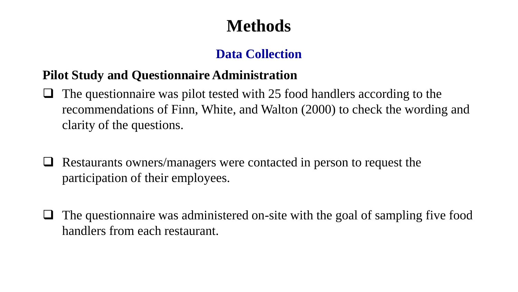### **Data Collection**

### **Pilot Study and Questionnaire Administration**

- $\Box$  The questionnaire was pilot tested with 25 food handlers according to the recommendations of Finn, White, and Walton (2000) to check the wording and clarity of the questions.
- Restaurants owners/managers were contacted in person to request the participation of their employees.
- The questionnaire was administered on-site with the goal of sampling five food handlers from each restaurant.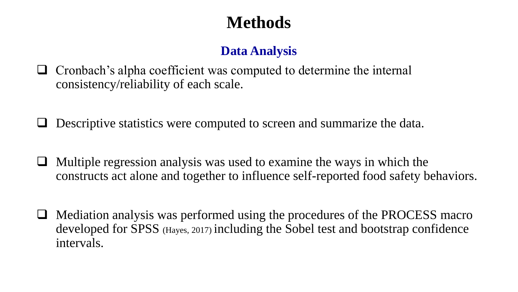### **Data Analysis**

- ❑ Cronbach's alpha coefficient was computed to determine the internal consistency/reliability of each scale.
- ❑ Descriptive statistics were computed to screen and summarize the data.
- ❑ Multiple regression analysis was used to examine the ways in which the constructs act alone and together to influence self-reported food safety behaviors.
- □ Mediation analysis was performed using the procedures of the PROCESS macro developed for SPSS (Hayes, 2017) including the Sobel test and bootstrap confidence intervals.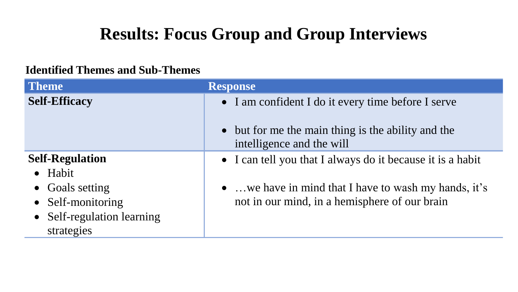| <b>Theme</b>             | <b>Response</b>                                                                 |
|--------------------------|---------------------------------------------------------------------------------|
| <b>Self-Efficacy</b>     | • I am confident I do it every time before I serve                              |
|                          | • but for me the main thing is the ability and the<br>intelligence and the will |
| <b>Self-Regulation</b>   | • I can tell you that I always do it because it is a habit                      |
| · Habit                  |                                                                                 |
| • Goals setting          | •  we have in mind that I have to wash my hands, it's                           |
| • Self-monitoring        | not in our mind, in a hemisphere of our brain                                   |
| Self-regulation learning |                                                                                 |
| strategies               |                                                                                 |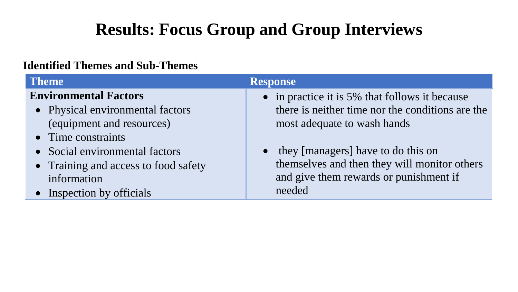| <b>Theme</b>                         | <b>Response</b>                                  |
|--------------------------------------|--------------------------------------------------|
| <b>Environmental Factors</b>         | • in practice it is 5% that follows it because   |
| • Physical environmental factors     | there is neither time nor the conditions are the |
| (equipment and resources)            | most adequate to wash hands                      |
| • Time constraints                   |                                                  |
| • Social environmental factors       | they [managers] have to do this on<br>$\bullet$  |
| • Training and access to food safety | themselves and then they will monitor others     |
| information                          | and give them rewards or punishment if           |
| • Inspection by officials            | needed                                           |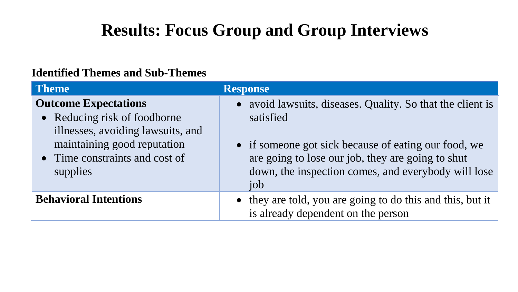| Theme                                                                                                                                                                         | <b>Response</b>                                                                                                                                                                                                                                  |
|-------------------------------------------------------------------------------------------------------------------------------------------------------------------------------|--------------------------------------------------------------------------------------------------------------------------------------------------------------------------------------------------------------------------------------------------|
| <b>Outcome Expectations</b><br>• Reducing risk of foodborne<br>illnesses, avoiding lawsuits, and<br>maintaining good reputation<br>• Time constraints and cost of<br>supplies | avoid lawsuits, diseases. Quality. So that the client is<br>satisfied<br>• if someone got sick because of eating our food, we<br>are going to lose our job, they are going to shut<br>down, the inspection comes, and everybody will lose<br>job |
| <b>Behavioral Intentions</b>                                                                                                                                                  | • they are told, you are going to do this and this, but it<br>is already dependent on the person                                                                                                                                                 |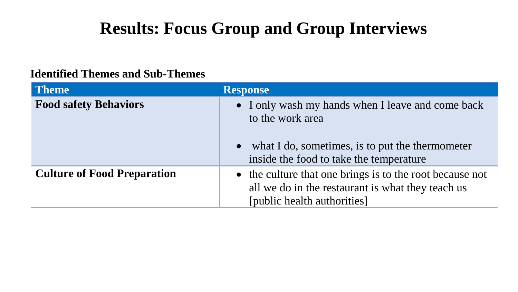| <b>Theme</b>                       | <b>Response</b>                                                                                                                              |
|------------------------------------|----------------------------------------------------------------------------------------------------------------------------------------------|
| <b>Food safety Behaviors</b>       | • I only wash my hands when I leave and come back<br>to the work area<br>• what I do, sometimes, is to put the thermometer                   |
|                                    | inside the food to take the temperature                                                                                                      |
| <b>Culture of Food Preparation</b> | • the culture that one brings is to the root because not<br>all we do in the restaurant is what they teach us<br>[public health authorities] |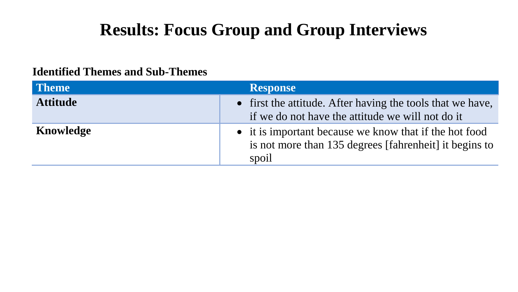| Theme           | <b>Response</b>                                                                                                           |
|-----------------|---------------------------------------------------------------------------------------------------------------------------|
| <b>Attitude</b> | • first the attitude. After having the tools that we have,<br>if we do not have the attitude we will not do it            |
| Knowledge       | • it is important because we know that if the hot food<br>is not more than 135 degrees [fahrenheit] it begins to<br>spoil |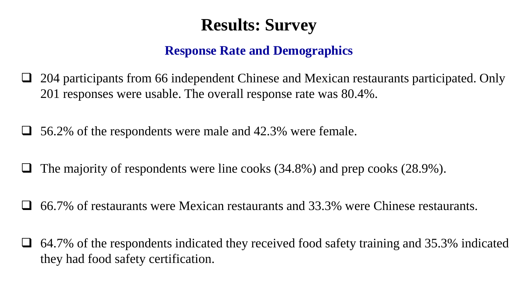### **Response Rate and Demographics**

- ❑ 204 participants from 66 independent Chinese and Mexican restaurants participated. Only 201 responses were usable. The overall response rate was 80.4%.
- 56.2% of the respondents were male and 42.3% were female.
- The majority of respondents were line cooks (34.8%) and prep cooks (28.9%).
- ❑ 66.7% of restaurants were Mexican restaurants and 33.3% were Chinese restaurants.
- ❑ 64.7% of the respondents indicated they received food safety training and 35.3% indicated they had food safety certification.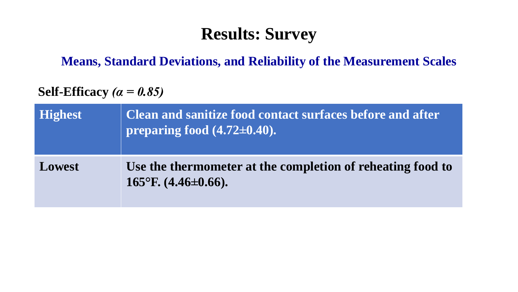**Means, Standard Deviations, and Reliability of the Measurement Scales**

#### **Self-Efficacy**  $(a = 0.85)$

| <b>Highest</b> | <b>Clean and sanitize food contact surfaces before and after</b><br>preparing food $(4.72\pm0.40)$ . |
|----------------|------------------------------------------------------------------------------------------------------|
| Lowest         | Use the thermometer at the completion of reheating food to<br>165°F. $(4.46\pm0.66)$ .               |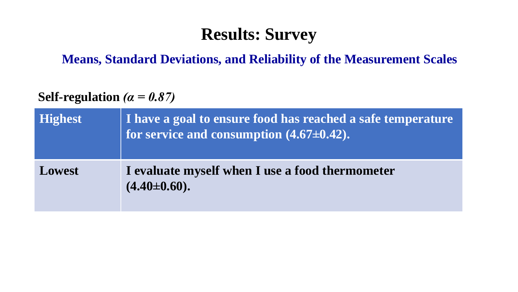#### **Means, Standard Deviations, and Reliability of the Measurement Scales**

#### **Self-regulation**  $(a = 0.87)$

| <b>Highest</b> | I have a goal to ensure food has reached a safe temperature<br>for service and consumption (4.67±0.42). |
|----------------|---------------------------------------------------------------------------------------------------------|
| Lowest         | I evaluate myself when I use a food thermometer<br>$(4.40 \pm 0.60)$ .                                  |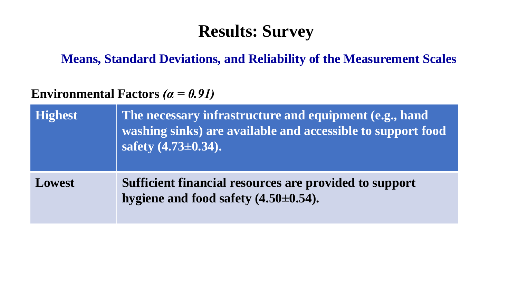**Means, Standard Deviations, and Reliability of the Measurement Scales**

#### **Environmental Factors** *(α = 0.91)*

| <b>Highest</b> | The necessary infrastructure and equipment (e.g., hand<br>washing sinks) are available and accessible to support food<br>safety (4.73±0.34). |
|----------------|----------------------------------------------------------------------------------------------------------------------------------------------|
| Lowest         | Sufficient financial resources are provided to support<br>hygiene and food safety $(4.50\pm0.54)$ .                                          |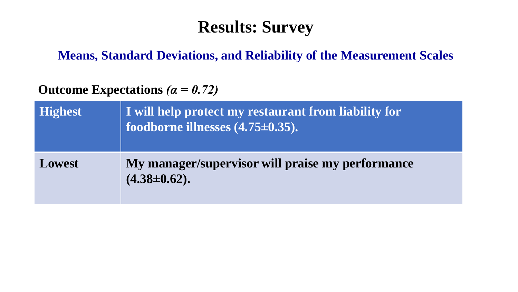**Means, Standard Deviations, and Reliability of the Measurement Scales**

#### **Outcome Expectations** *(α = 0.72)*

| <b>Highest</b> | <b>I</b> will help protect my restaurant from liability for<br>foodborne illnesses $(4.75\pm0.35)$ . |
|----------------|------------------------------------------------------------------------------------------------------|
| Lowest         | My manager/supervisor will praise my performance<br>$(4.38 \pm 0.62)$ .                              |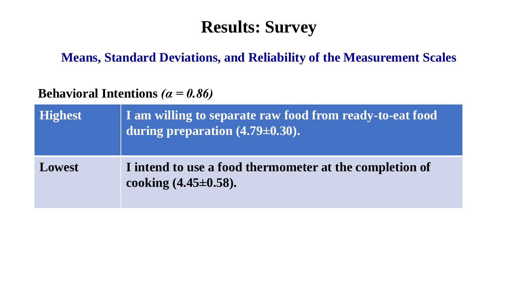**Means, Standard Deviations, and Reliability of the Measurement Scales**

#### **Behavioral Intentions** *(α = 0.86)*

| <b>Highest</b> | I am willing to separate raw food from ready-to-eat food<br>during preparation (4.79±0.30). |
|----------------|---------------------------------------------------------------------------------------------|
| Lowest         | I intend to use a food thermometer at the completion of<br>cooking $(4.45 \pm 0.58)$ .      |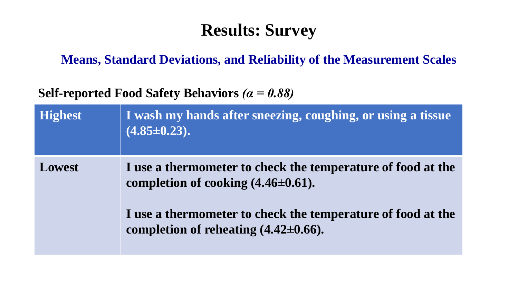**Means, Standard Deviations, and Reliability of the Measurement Scales**

#### **Self-reported Food Safety Behaviors** *(α = 0.88)*

| <b>Highest</b> | I wash my hands after sneezing, coughing, or using a tissue<br>$(4.85 \pm 0.23)$ .                       |
|----------------|----------------------------------------------------------------------------------------------------------|
| Lowest         | I use a thermometer to check the temperature of food at the<br>completion of cooking $(4.46\pm0.61)$ .   |
|                | I use a thermometer to check the temperature of food at the<br>completion of reheating $(4.42\pm0.66)$ . |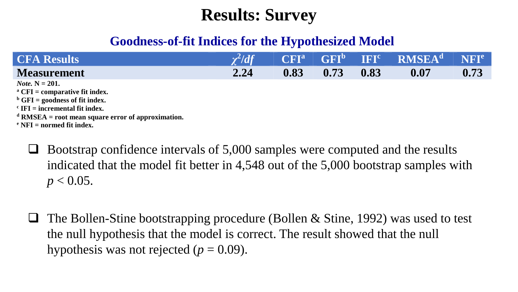#### **Goodness-of-fit Indices for the Hypothesized Model**

| <b>CFA Results</b>                                                                                                                                                                                                                               | $\chi^2$ <i>df</i> | CFI <sup>a</sup> | $\mathbf{GFI}^{\mathbf{b}}$ | <b>IFIC</b> | <b>RMSEA<sup>d</sup></b> | <b>NFI</b> <sup>e</sup> |
|--------------------------------------------------------------------------------------------------------------------------------------------------------------------------------------------------------------------------------------------------|--------------------|------------------|-----------------------------|-------------|--------------------------|-------------------------|
| <b>Measurement</b>                                                                                                                                                                                                                               | 2.24               | 0.83             | 0.73                        | 0.83        | 0.07                     | 0.73                    |
| <i>Note.</i> $N = 201$ .<br>$^{\circ}$ CFI = comparative fit index.<br>$\rm ^b$ GFI = goodness of fit index.<br>$c$ IFI = incremental fit index.<br>$d$ RMSEA = root mean square error of approximation.<br>$\mathbf{F}$ NFI = normed fit index. |                    |                  |                             |             |                          |                         |

- Bootstrap confidence intervals of 5,000 samples were computed and the results indicated that the model fit better in 4,548 out of the 5,000 bootstrap samples with  $p < 0.05$ .
- The Bollen-Stine bootstrapping procedure (Bollen & Stine, 1992) was used to test the null hypothesis that the model is correct. The result showed that the null hypothesis was not rejected  $(p = 0.09)$ .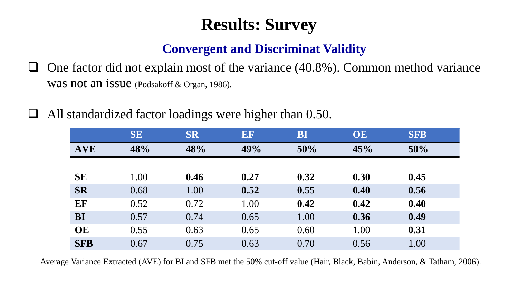### **Convergent and Discriminat Validity**

- $\Box$  One factor did not explain most of the variance (40.8%). Common method variance was not an issue (Podsakoff & Organ, 1986).
- ❑ All standardized factor loadings were higher than 0.50.

|            | <b>SE</b> | <b>SR</b> | EF   | BI   | OE   | <b>SFB</b> |  |
|------------|-----------|-----------|------|------|------|------------|--|
| <b>AVE</b> | 48%       | 48%       | 49%  | 50%  | 45%  | 50%        |  |
|            |           |           |      |      |      |            |  |
| <b>SE</b>  | 1.00      | 0.46      | 0.27 | 0.32 | 0.30 | 0.45       |  |
| <b>SR</b>  | 0.68      | 1.00      | 0.52 | 0.55 | 0.40 | 0.56       |  |
| EF         | 0.52      | 0.72      | 1.00 | 0.42 | 0.42 | 0.40       |  |
| <b>BI</b>  | 0.57      | 0.74      | 0.65 | 1.00 | 0.36 | 0.49       |  |
| <b>OE</b>  | 0.55      | 0.63      | 0.65 | 0.60 | 1.00 | 0.31       |  |
| <b>SFB</b> | 0.67      | 0.75      | 0.63 | 0.70 | 0.56 | 1.00       |  |

Average Variance Extracted (AVE) for BI and SFB met the 50% cut-off value (Hair, Black, Babin, Anderson, & Tatham, 2006).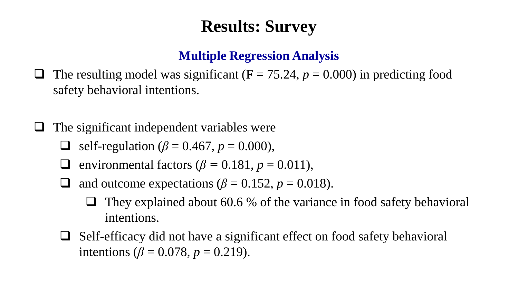### **Multiple Regression Analysis**

- $\Box$  The resulting model was significant (F = 75.24,  $p = 0.000$ ) in predicting food safety behavioral intentions.
- ❑ The significant independent variables were
	- self-regulation ( $\beta = 0.467$ ,  $p = 0.000$ ),
	- environmental factors ( $\beta$  = 0.181,  $p$  = 0.011),
	- ❑ and outcome expectations (*β* = 0.152, *p* = 0.018).
		- They explained about 60.6 % of the variance in food safety behavioral intentions.
	- ❑ Self-efficacy did not have a significant effect on food safety behavioral intentions ( $\beta = 0.078$ ,  $p = 0.219$ ).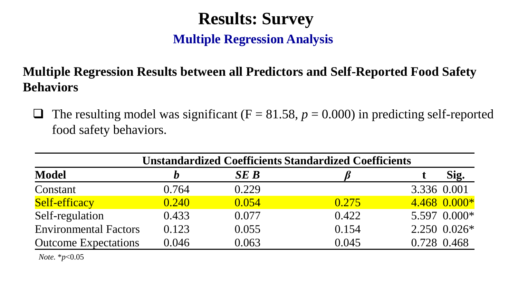#### **Multiple Regression Analysis**

### **Multiple Regression Results between all Predictors and Self-Reported Food Safety Behaviors**

 $\Box$  The resulting model was significant (F = 81.58,  $p = 0.000$ ) in predicting self-reported food safety behaviors.

| <b>Unstandardized Coefficients Standardized Coefficients</b> |       |             |       |  |                |  |  |
|--------------------------------------------------------------|-------|-------------|-------|--|----------------|--|--|
| <b>Model</b>                                                 |       | <b>SE B</b> |       |  | Sig.           |  |  |
| Constant                                                     | 0.764 | 0.229       |       |  | 3.336 0.001    |  |  |
| Self-efficacy                                                | 0.240 | 0.054       | 0.275 |  | $4.468$ 0.000* |  |  |
| Self-regulation                                              | 0.433 | 0.077       | 0.422 |  | 5.597 0.000*   |  |  |
| <b>Environmental Factors</b>                                 | 0.123 | 0.055       | 0.154 |  | 2.250 0.026*   |  |  |
| <b>Outcome Expectations</b>                                  | 0.046 | 0.063       | 0.045 |  | 0.728 0.468    |  |  |

*Note.* \**p*<0.05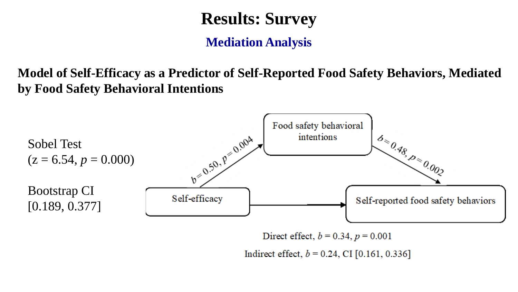**Mediation Analysis**

**Model of Self-Efficacy as a Predictor of Self-Reported Food Safety Behaviors, Mediated by Food Safety Behavioral Intentions**



Direct effect,  $b = 0.34$ ,  $p = 0.001$ 

Indirect effect,  $b = 0.24$ , CI [0.161, 0.336]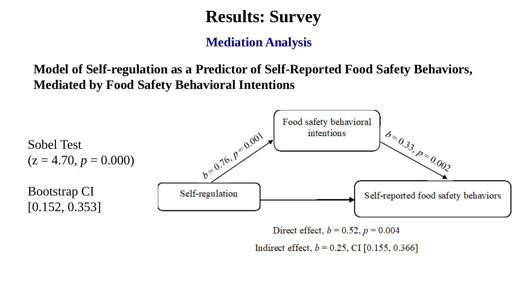**Mediation Analysis**

**Model of Self-regulation as a Predictor of Self-Reported Food Safety Behaviors, Mediated by Food Safety Behavioral Intentions**



Direct effect,  $b = 0.52$ ,  $p = 0.004$ 

Indirect effect,  $b = 0.25$ , CI [0.155, 0.366]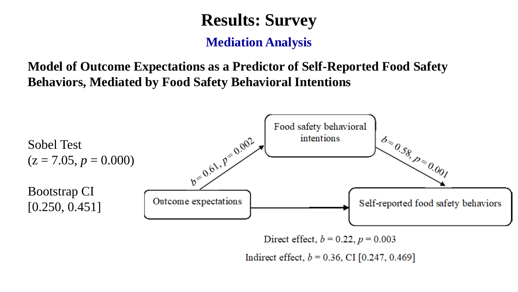# **Mediation Analysis Results: Survey**

**Model of Outcome Expectations as a Predictor of Self-Reported Food Safety Behaviors, Mediated by Food Safety Behavioral Intentions**



Direct effect,  $b = 0.22$ ,  $p = 0.003$ 

Indirect effect,  $b = 0.36$ , CI [0.247, 0.469]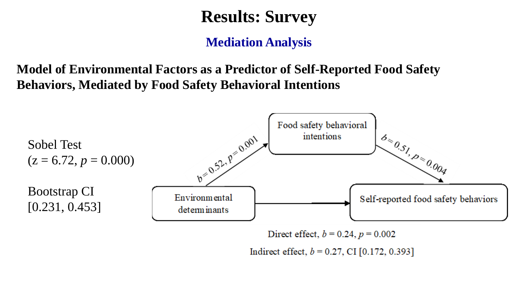**Mediation Analysis**

**Model of Environmental Factors as a Predictor of Self-Reported Food Safety Behaviors, Mediated by Food Safety Behavioral Intentions**



Direct effect,  $b = 0.24$ ,  $p = 0.002$ 

Indirect effect,  $b = 0.27$ , CI [0.172, 0.393]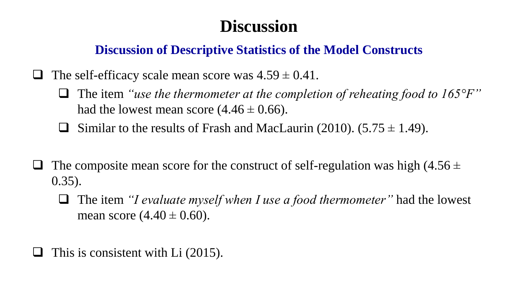### **Discussion of Descriptive Statistics of the Model Constructs**

 $\Box$  The self-efficacy scale mean score was  $4.59 \pm 0.41$ .

- The item *"use the thermometer at the completion of reheating food to 165°F"* had the lowest mean score  $(4.46 \pm 0.66)$ .
- $\Box$  Similar to the results of Frash and MacLaurin (2010). (5.75  $\pm$  1.49).
- The composite mean score for the construct of self-regulation was high  $(4.56 \pm$ 0.35).
	- ❑ The item *"I evaluate myself when I use a food thermometer"* had the lowest mean score  $(4.40 \pm 0.60)$ .
- This is consistent with Li (2015).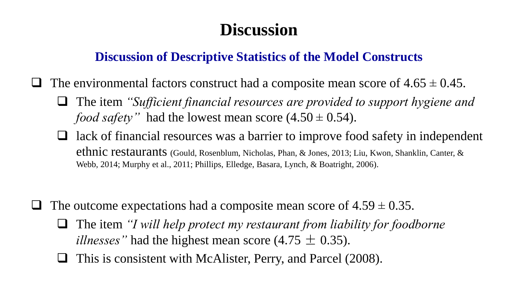#### **Discussion of Descriptive Statistics of the Model Constructs**

The environmental factors construct had a composite mean score of  $4.65 \pm 0.45$ .

- ❑ The item *"Sufficient financial resources are provided to support hygiene and food safety*" had the lowest mean score  $(4.50 \pm 0.54)$ .
- lack of financial resources was a barrier to improve food safety in independent ethnic restaurants (Gould, Rosenblum, Nicholas, Phan, & Jones, 2013; Liu, Kwon, Shanklin, Canter, & Webb, 2014; Murphy et al., 2011; Phillips, Elledge, Basara, Lynch, & Boatright, 2006).
- The outcome expectations had a composite mean score of  $4.59 \pm 0.35$ .
	- ❑ The item *"I will help protect my restaurant from liability for foodborne illnesses*" had the highest mean score  $(4.75 \pm 0.35)$ .
	- ❑ This is consistent with McAlister, Perry, and Parcel (2008).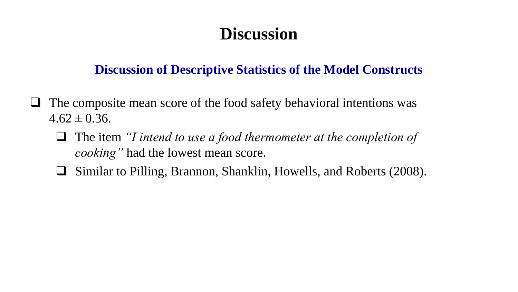#### **Discussion of Descriptive Statistics of the Model Constructs**

- ❑ The composite mean score of the food safety behavioral intentions was  $4.62 \pm 0.36$ .
	- ❑ The item *"I intend to use a food thermometer at the completion of cooking"* had the lowest mean score.
	- ❑ Similar to Pilling, Brannon, Shanklin, Howells, and Roberts (2008).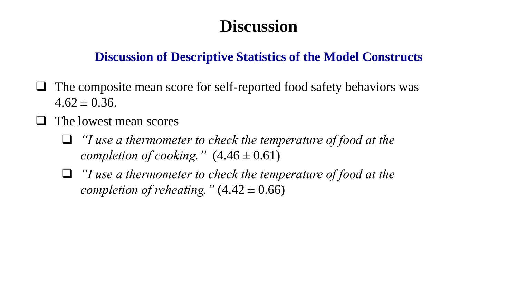#### **Discussion of Descriptive Statistics of the Model Constructs**

- ❑ The composite mean score for self-reported food safety behaviors was  $4.62 \pm 0.36$ .
- The lowest mean scores
	- ❑ *"I use a thermometer to check the temperature of food at the completion of cooking.*"  $(4.46 \pm 0.61)$
	- ❑ *"I use a thermometer to check the temperature of food at the completion of reheating.*"  $(4.42 \pm 0.66)$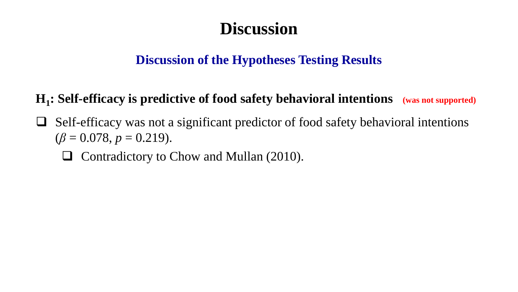### **Discussion of the Hypotheses Testing Results**

- **H1 : Self-efficacy is predictive of food safety behavioral intentions (was not supported)**
- ❑ Self-efficacy was not a significant predictor of food safety behavioral intentions  $(\beta = 0.078, p = 0.219).$ 
	- ❑ Contradictory to Chow and Mullan (2010).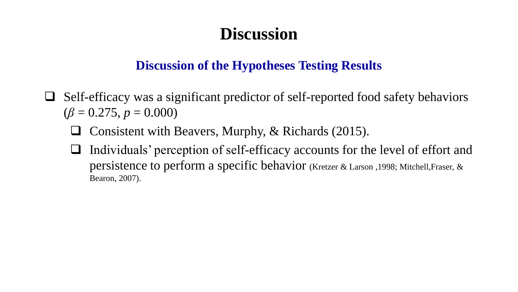#### **Discussion of the Hypotheses Testing Results**

- ❑ Self-efficacy was a significant predictor of self-reported food safety behaviors  $(\beta = 0.275, p = 0.000)$ 
	- ❑ Consistent with Beavers, Murphy, & Richards (2015).
	- ❑ Individuals' perception of self-efficacy accounts for the level of effort and persistence to perform a specific behavior (Kretzer & Larson ,1998; Mitchell,Fraser, & Bearon, 2007).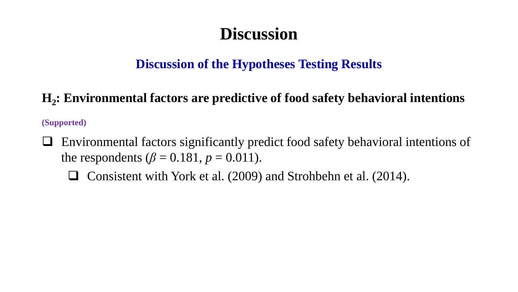### **Discussion of the Hypotheses Testing Results**

### **H2 : Environmental factors are predictive of food safety behavioral intentions**

**(Supported)**

- ❑ Environmental factors significantly predict food safety behavioral intentions of the respondents ( $\beta = 0.181, p = 0.011$ ).
	- ❑ Consistent with York et al. (2009) and Strohbehn et al. (2014).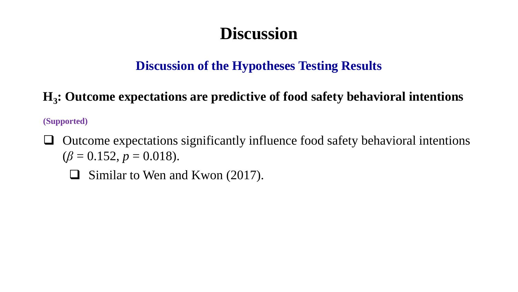#### **Discussion of the Hypotheses Testing Results**

### **H3 : Outcome expectations are predictive of food safety behavioral intentions**

**(Supported)**

- ❑ Outcome expectations significantly influence food safety behavioral intentions  $(\beta = 0.152, p = 0.018).$ 
	- ❑ Similar to Wen and Kwon (2017).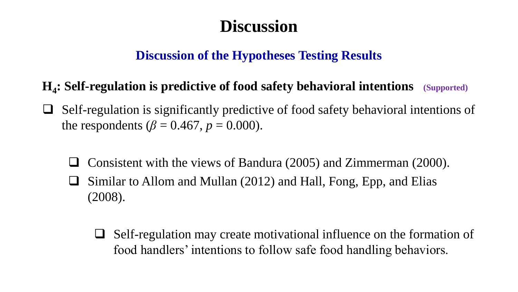### **Discussion of the Hypotheses Testing Results**

- **H4 : Self-regulation is predictive of food safety behavioral intentions (Supported)**
- ❑ Self-regulation is significantly predictive of food safety behavioral intentions of the respondents ( $\beta = 0.467$ ,  $p = 0.000$ ).
	- ❑ Consistent with the views of Bandura (2005) and Zimmerman (2000).
	- ❑ Similar to Allom and Mullan (2012) and Hall, Fong, Epp, and Elias (2008).
		- ❑ Self-regulation may create motivational influence on the formation of food handlers' intentions to follow safe food handling behaviors.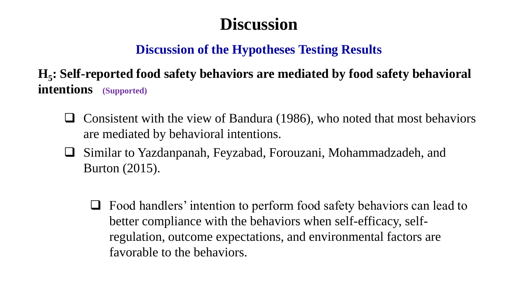### **Discussion of the Hypotheses Testing Results**

**H5 : Self-reported food safety behaviors are mediated by food safety behavioral intentions (Supported)**

- ❑ Consistent with the view of Bandura (1986), who noted that most behaviors are mediated by behavioral intentions.
- ❑ Similar to Yazdanpanah, Feyzabad, Forouzani, Mohammadzadeh, and Burton (2015).
	- ❑ Food handlers' intention to perform food safety behaviors can lead to better compliance with the behaviors when self-efficacy, selfregulation, outcome expectations, and environmental factors are favorable to the behaviors.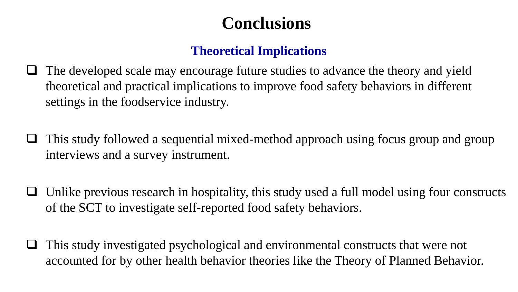# **Conclusions**

### **Theoretical Implications**

- The developed scale may encourage future studies to advance the theory and yield theoretical and practical implications to improve food safety behaviors in different settings in the foodservice industry.
- ❑ This study followed a sequential mixed-method approach using focus group and group interviews and a survey instrument.
- $\Box$  Unlike previous research in hospitality, this study used a full model using four constructs of the SCT to investigate self-reported food safety behaviors.
- ❑ This study investigated psychological and environmental constructs that were not accounted for by other health behavior theories like the Theory of Planned Behavior.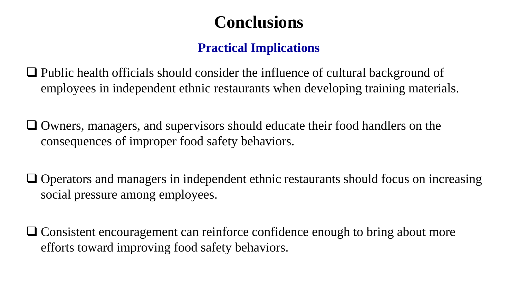## **Conclusions**

#### **Practical Implications**

❑ Public health officials should consider the influence of cultural background of employees in independent ethnic restaurants when developing training materials.

❑ Owners, managers, and supervisors should educate their food handlers on the consequences of improper food safety behaviors.

□ Operators and managers in independent ethnic restaurants should focus on increasing social pressure among employees.

❑ Consistent encouragement can reinforce confidence enough to bring about more efforts toward improving food safety behaviors.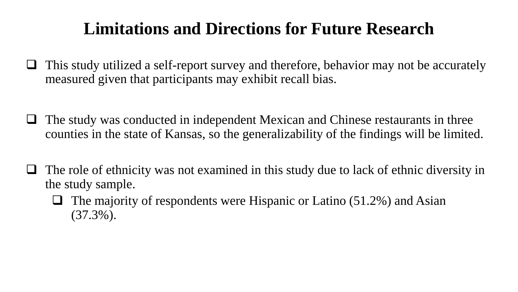# **Limitations and Directions for Future Research**

- This study utilized a self-report survey and therefore, behavior may not be accurately measured given that participants may exhibit recall bias.
- The study was conducted in independent Mexican and Chinese restaurants in three counties in the state of Kansas, so the generalizability of the findings will be limited.
- The role of ethnicity was not examined in this study due to lack of ethnic diversity in the study sample.
	- The majority of respondents were Hispanic or Latino (51.2%) and Asian (37.3%).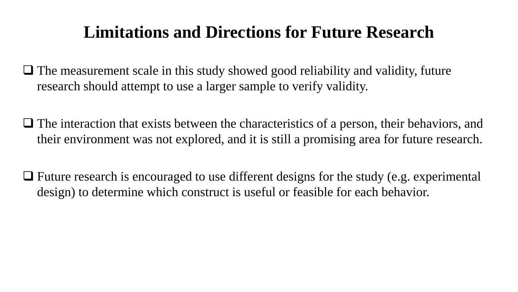## **Limitations and Directions for Future Research**

- ❑ The measurement scale in this study showed good reliability and validity, future research should attempt to use a larger sample to verify validity.
- ❑ The interaction that exists between the characteristics of a person, their behaviors, and their environment was not explored, and it is still a promising area for future research.
- ❑ Future research is encouraged to use different designs for the study (e.g. experimental design) to determine which construct is useful or feasible for each behavior.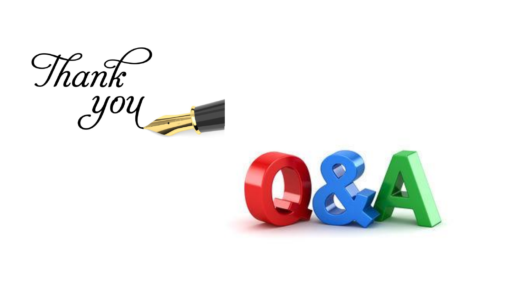

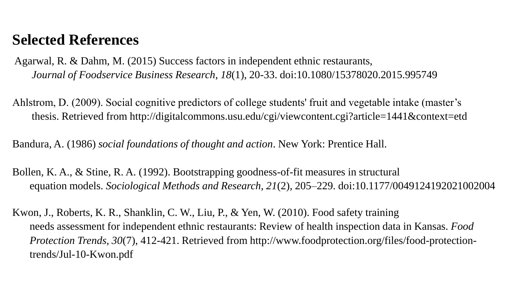### **Selected References**

Agarwal, R. & Dahm, M. (2015) Success factors in independent ethnic restaurants, *Journal of Foodservice Business Research*, *18*(1), 20-33. doi:10.1080/15378020.2015.995749

Ahlstrom, D. (2009). Social cognitive predictors of college students' fruit and vegetable intake (master's thesis. Retrieved from http://digitalcommons.usu.edu/cgi/viewcontent.cgi?article=1441&context=etd

Bandura, A. (1986) *social foundations of thought and action*. New York: Prentice Hall.

Bollen, K. A., & Stine, R. A. (1992). Bootstrapping goodness-of-fit measures in structural equation models. *Sociological Methods and Research, 21*(2), 205–229. doi:10.1177/0049124192021002004

Kwon, J., Roberts, K. R., Shanklin, C. W., Liu, P., & Yen, W. (2010). Food safety training needs assessment for independent ethnic restaurants: Review of health inspection data in Kansas. *Food Protection Trends, 30*(7), 412-421. Retrieved from http://www.foodprotection.org/files/food-protectiontrends/Jul-10-Kwon.pdf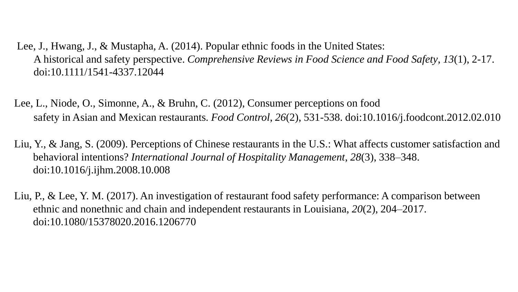Lee, J., Hwang, J., & Mustapha, A. (2014). Popular ethnic foods in the United States: A historical and safety perspective. *Comprehensive Reviews in Food Science and Food Safety*, *13*(1), 2-17. doi:10.1111/1541-4337.12044

Lee, L., Niode, O., Simonne, A., & Bruhn, C. (2012), Consumer perceptions on food safety in Asian and Mexican restaurants. *Food Control*, *26*(2), 531-538. doi:10.1016/j.foodcont.2012.02.010

Liu, Y., & Jang, S. (2009). Perceptions of Chinese restaurants in the U.S.: What affects customer satisfaction and behavioral intentions? *International Journal of Hospitality Management*, *28*(3), 338–348. doi:10.1016/j.ijhm.2008.10.008

Liu, P., & Lee, Y. M. (2017). An investigation of restaurant food safety performance: A comparison between ethnic and nonethnic and chain and independent restaurants in Louisiana, *20*(2), 204–2017. doi:10.1080/15378020.2016.1206770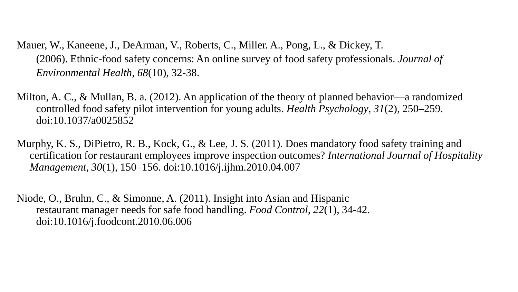Mauer, W., Kaneene, J., DeArman, V., Roberts, C., Miller. A., Pong, L., & Dickey, T. (2006). Ethnic-food safety concerns: An online survey of food safety professionals. *Journal of Environmental Health*, *68*(10), 32-38.

- Milton, A. C., & Mullan, B. a. (2012). An application of the theory of planned behavior—a randomized controlled food safety pilot intervention for young adults. *Health Psychology*, *31*(2), 250–259. doi:10.1037/a0025852
- Murphy, K. S., DiPietro, R. B., Kock, G., & Lee, J. S. (2011). Does mandatory food safety training and certification for restaurant employees improve inspection outcomes? *International Journal of Hospitality Management*, *30*(1), 150–156. doi:10.1016/j.ijhm.2010.04.007
- Niode, O., Bruhn, C., & Simonne, A. (2011). Insight into Asian and Hispanic restaurant manager needs for safe food handling. *Food Control*, *22*(1), 34-42. doi:10.1016/j.foodcont.2010.06.006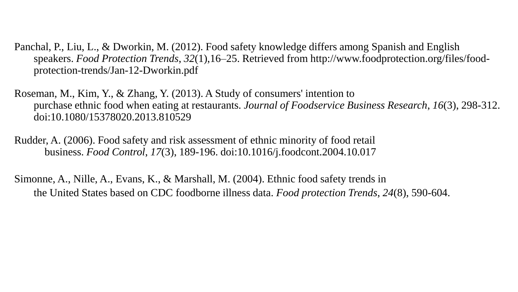- Panchal, P., Liu, L., & Dworkin, M. (2012). Food safety knowledge differs among Spanish and English speakers. *Food Protection Trends*, *32*(1),16–25. Retrieved from http://www.foodprotection.org/files/foodprotection-trends/Jan-12-Dworkin.pdf
- Roseman, M., Kim, Y., & Zhang, Y. (2013). A Study of consumers' intention to purchase ethnic food when eating at restaurants. *Journal of Foodservice Business Research*, *16*(3), 298-312. doi:10.1080/15378020.2013.810529
- Rudder, A. (2006). Food safety and risk assessment of ethnic minority of food retail business. *Food Control*, *17*(3), 189-196. doi:10.1016/j.foodcont.2004.10.017
- Simonne, A., Nille, A., Evans, K., & Marshall, M. (2004). Ethnic food safety trends in the United States based on CDC foodborne illness data. *Food protection Trends*, *24*(8), 590-604.